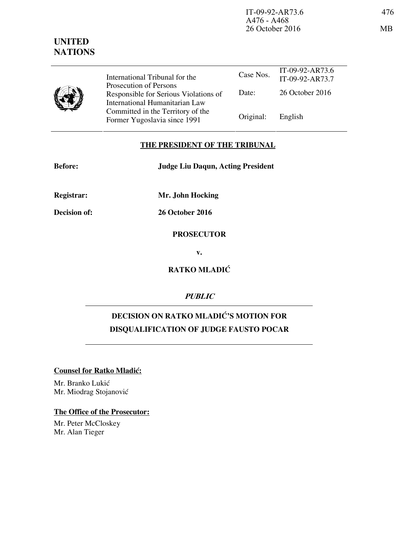| J | International Tribunal for the                                                                    | Case Nos. | IT-09-92-AR73.6<br>IT-09-92-AR73.7 |
|---|---------------------------------------------------------------------------------------------------|-----------|------------------------------------|
|   | Prosecution of Persons<br>Responsible for Serious Violations of<br>International Humanitarian Law | Date:     | 26 October 2016                    |
|   | Committed in the Territory of the<br>Former Yugoslavia since 1991                                 | Original: | English                            |

### **THE PRESIDENT OF THE TRIBUNAL**

| <b>Before:</b> | <b>Judge Liu Daqun, Acting President</b> |  |  |
|----------------|------------------------------------------|--|--|
|                |                                          |  |  |

**Registrar: Mr. John Hocking** 

**Decision of: 26 October 2016** 

**PROSECUTOR** 

**v.** 

**RATKO MLADIĆ** 

**PUBLIC** 

# **DECISION ON RATKO MLADIĆ'S MOTION FOR DISQUALIFICATION OF JUDGE FAUSTO POCAR**

#### **Counsel for Ratko Mladić:**

Mr. Branko Lukić Mr. Miodrag Stojanović

## **The Office of the Prosecutor:**

Mr. Peter McCloskey Mr. Alan Tieger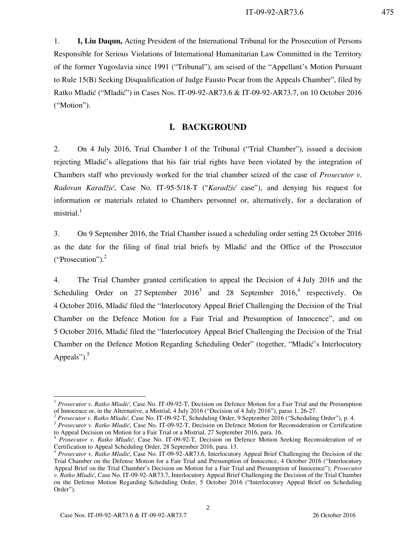1. **I, Liu Daqun,** Acting President of the International Tribunal for the Prosecution of Persons Responsible for Serious Violations of International Humanitarian Law Committed in the Territory of the former Yugoslavia since 1991 ("Tribunal"), am seised of the "Appellant's Motion Pursuant to Rule 15(B) Seeking Disqualification of Judge Fausto Pocar from the Appeals Chamber", filed by Ratko Mladić ("Mladić") in Cases Nos. IT-09-92-AR73.6 & IT-09-92-AR73.7, on 10 October 2016 ("Motion").

### **I. BACKGROUND**

2. On 4 July 2016, Trial Chamber I of the Tribunal ("Trial Chamber"), issued a decision rejecting Mladić's allegations that his fair trial rights have been violated by the integration of Chambers staff who previously worked for the trial chamber seized of the case of *Prosecutor v. Radovan Karad`i}*, Case No. IT-95-5/18-T ("*Karad`i}* case"*)*, and denying his request for information or materials related to Chambers personnel or, alternatively, for a declaration of mistrial. $1$ 

3. On 9 September 2016, the Trial Chamber issued a scheduling order setting 25 October 2016 as the date for the filing of final trial briefs by Mladić and the Office of the Prosecutor ("Prosecution"). $2$ 

4. The Trial Chamber granted certification to appeal the Decision of 4 July 2016 and the Scheduling Order on 27 September  $2016<sup>3</sup>$  and 28 September  $2016<sup>4</sup>$  respectively. On 4 October 2016, Mladić filed the "Interlocutory Appeal Brief Challenging the Decision of the Trial Chamber on the Defence Motion for a Fair Trial and Presumption of Innocence", and on 5 October 2016, Mladi} filed the "Interlocutory Appeal Brief Challenging the Decision of the Trial Chamber on the Defence Motion Regarding Scheduling Order" (together, "Mladić's Interlocutory Appeals" $)$ .<sup>5</sup>

<sup>&</sup>lt;sup>1</sup> Prosecutor v. Ratko Mladić, Case No. IT-09-92-T, Decision on Defence Motion for a Fair Trial and the Presumption of Innocence or, in the Alternative, a Mistrial, 4 July 2016 ("Decision of 4 July 2016"), paras 1, 26-27.

<sup>2</sup> *Prosecutor v. Ratko Mladić*, Case No. IT-09-92-T, Scheduling Order, 9 September 2016 ("Scheduling Order"), p. 4.

<sup>&</sup>lt;sup>3</sup> Prosecutor v. Ratko Mladić, Case No. IT-09-92-T, Decision on Defence Motion for Reconsideration or Certification to Appeal Decision on Motion for a Fair Trial or a Mistrial, 27 September 2016, para. 16.

<sup>4</sup> *Prosecutor v. Ratko Mladić*, Case No. IT-09-92-T, Decision on Defence Motion Seeking Reconsideration of or Certification to Appeal Scheduling Order, 28 September 2016, para. 13.

<sup>&</sup>lt;sup>5</sup> Prosecutor v. Ratko Mladić, Case No. IT-09-92-AR73.6, Interlocutory Appeal Brief Challenging the Decision of the Trial Chamber on the Defense Motion for a Fair Trial and Presumption of Innocence, 4 October 2016 ("Interlocutory Appeal Brief on the Trial Chamber's Decision on Motion for a Fair Trial and Presumption of Innocence"); *Prosecutor v. Ratko Mladić*, Case No. IT-09-92-AR73.7, Interlocutory Appeal Brief Challenging the Decision of the Trial Chamber on the Defense Motion Regarding Scheduling Order, 5 October 2016 ("Interlocutory Appeal Brief on Scheduling Order").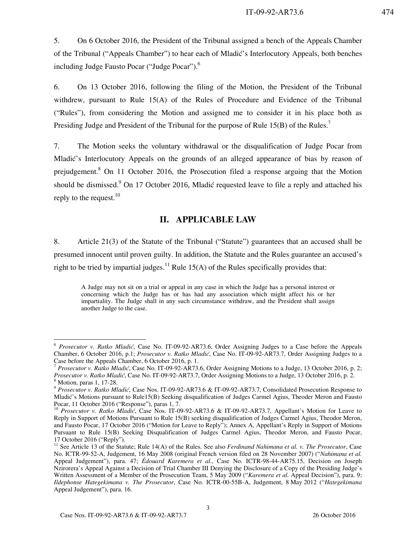5. On 6 October 2016, the President of the Tribunal assigned a bench of the Appeals Chamber of the Tribunal ("Appeals Chamber") to hear each of Mladić's Interlocutory Appeals, both benches including Judge Fausto Pocar ("Judge Pocar").<sup>6</sup>

6. On 13 October 2016, following the filing of the Motion, the President of the Tribunal withdrew, pursuant to Rule 15(A) of the Rules of Procedure and Evidence of the Tribunal ("Rules"), from considering the Motion and assigned me to consider it in his place both as Presiding Judge and President of the Tribunal for the purpose of Rule 15(B) of the Rules.<sup>7</sup>

7. The Motion seeks the voluntary withdrawal or the disqualification of Judge Pocar from Mladić's Interlocutory Appeals on the grounds of an alleged appearance of bias by reason of prejudgement.<sup>8</sup> On 11 October 2016, the Prosecution filed a response arguing that the Motion should be dismissed.<sup>9</sup> On 17 October 2016, Mladić requested leave to file a reply and attached his reply to the request.  $10$ 

### **II. APPLICABLE LAW**

8. Article 21(3) of the Statute of the Tribunal ("Statute") guarantees that an accused shall be presumed innocent until proven guilty. In addition, the Statute and the Rules guarantee an accused's right to be tried by impartial judges.<sup>11</sup> Rule 15(A) of the Rules specifically provides that:

A Judge may not sit on a trial or appeal in any case in which the Judge has a personal interest or concerning which the Judge has or has had any association which might affect his or her impartiality. The Judge shall in any such circumstance withdraw, and the President shall assign another Judge to the case.

<sup>6</sup> *Prosecutor v. Ratko Mladić*, Case No. IT-09-92-AR73.6, Order Assigning Judges to a Case before the Appeals Chamber, 6 October 2016, p.1; *Prosecutor v. Ratko Mladić*, Case No. IT-09-92-AR73.7, Order Assigning Judges to a Case before the Appeals Chamber, 6 October 2016, p. 1.

<sup>7</sup> *Prosecutor v. Ratko Mladić*, Case No. IT-09-92-AR73.6, Order Assigning Motions to a Judge, 13 October 2016, p. 2; *Prosecutor v. Ratko Mladić*, Case No. IT-09-92-AR73.7, Order Assigning Motions to a Judge, 13 October 2016, p. 2.

<sup>8</sup> Motion, paras 1, 17-28.

<sup>9</sup> *Prosecutor v. Ratko Mladić*, Case Nos. IT-09-92-AR73.6 & IT-09-92-AR73.7, Consolidated Prosecution Response to Mladić's Motions pursuant to Rule15(B) Seeking disqualification of Judges Carmel Agius, Theoder Meron and Fausto Pocar, 11 October 2016 ("Response"), paras 1, 7.

<sup>&</sup>lt;sup>10</sup> Prosecutor v. Ratko Mladić, Case Nos. IT-09-92-AR73.6 & IT-09-92-AR73.7, Appellant's Motion for Leave to Reply in Support of Motions Pursuant to Rule 15(B) seeking disqualification of Judges Carmel Agius, Theodor Meron, and Fausto Pocar, 17 October 2016 ("Motion for Leave to Reply"); Annex A, Appellant's Reply in Support of Motions Pursuant to Rule 15(B) Seeking Disqualification of Judges Carmel Agius, Theodor Meron, and Fausto Pocar, 17 October 2016 ("Reply").

<sup>&</sup>lt;sup>11</sup> See Article 13 of the Statute; Rule 14(A) of the Rules. See also *Ferdinand Nahimana et al. v. The Prosecutor*, Case No. ICTR-99-52-A, Judgement, 16 May 2008 (original French version filed on 28 November 2007) ("*Nahimana et al.*  Appeal Judgement"), para. 47; *Édouard Karemera et al.*, Case No. ICTR-98-44-AR75.15, Decision on Joseph Nzirorera's Appeal Against a Decision of Trial Chamber III Denying the Disclosure of a Copy of the Presiding Judge's Written Assessment of a Member of the Prosecution Team, 5 May 2009 ("*Karemera et al.* Appeal Decision"), para. 9; *Ildephonse Hategekimana v. The Prosecutor*, Case No. ICTR-00-55B-A, Judgement, 8 May 2012 ("*Hategekimana* Appeal Judgement"), para. 16.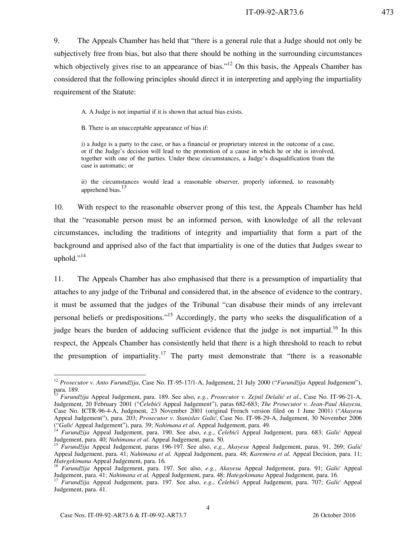9. The Appeals Chamber has held that "there is a general rule that a Judge should not only be subjectively free from bias, but also that there should be nothing in the surrounding circumstances which objectively gives rise to an appearance of bias."<sup>12</sup> On this basis, the Appeals Chamber has considered that the following principles should direct it in interpreting and applying the impartiality requirement of the Statute:

A. A Judge is not impartial if it is shown that actual bias exists.

B. There is an unacceptable appearance of bias if:

i) a Judge is a party to the case, or has a financial or proprietary interest in the outcome of a case, or if the Judge's decision will lead to the promotion of a cause in which he or she is involved, together with one of the parties. Under these circumstances, a Judge's disqualification from the case is automatic; or

ii) the circumstances would lead a reasonable observer, properly informed, to reasonably apprehend bias.<sup>13</sup>

10. With respect to the reasonable observer prong of this test, the Appeals Chamber has held that the "reasonable person must be an informed person, with knowledge of all the relevant circumstances, including the traditions of integrity and impartiality that form a part of the background and apprised also of the fact that impartiality is one of the duties that Judges swear to uphold." $^{14}$ 

11. The Appeals Chamber has also emphasised that there is a presumption of impartiality that attaches to any judge of the Tribunal and considered that, in the absence of evidence to the contrary, it must be assumed that the judges of the Tribunal "can disabuse their minds of any irrelevant personal beliefs or predispositions."<sup>15</sup> Accordingly, the party who seeks the disqualification of a judge bears the burden of adducing sufficient evidence that the judge is not impartial.<sup>16</sup> In this respect, the Appeals Chamber has consistently held that there is a high threshold to reach to rebut the presumption of impartiality.<sup>17</sup> The party must demonstrate that "there is a reasonable"

<sup>&</sup>lt;sup>12</sup> Prosecutor v. Anto Furundžija, Case No. IT-95-17/1-A, Judgement, 21 July 2000 ("Furundžija Appeal Judgement"), para. 189.

<sup>13</sup> *Furund`ija* Appeal Judgement, para. 189. See also, *e.g.*, *Prosecutor v. Zejnil Delali} et al.*, Case No. IT-96-21-A, Judgement, 20 February 2001 ("*^elebi}i* Appeal Judgement"), paras 682-683; *The Prosecutor v. Jean-Paul Akayesu*, Case No. ICTR-96-4-A, Judgment, 23 November 2001 (original French version filed on 1 June 2001) ("*Akayesu* Appeal Judgement"), para. 203; *Prosecutor v. Stanislav Galić*, Case No. IT-98-29-A, Judgement, 30 November 2006 ("*Gali}* Appeal Judgement"), para. 39; *Nahimana et al.* Appeal Judgement, para. 49*.*

<sup>(&</sup>quot;Galić Appeal Judgement"), para. 39; *Nanumana et al. Appeal Judgement*, para. 1983; *Galić Appeal* <sup>14</sup> *Furundžija Appeal Judgement*, para. 683; *Galić Appeal Appeal Furundžija Appeal Judgement*, para. 683; *Galić A* Judgement, para. 40; *Nahimana et al.* Appeal Judgement, para. 50*.*

<sup>&</sup>lt;sup>15</sup> Furundžija Appeal Judgement, paras 196-197. See also, e.g., Akayesu Appeal Judgement, paras. 91, 269; Galić Appeal Judgement, para. 41; *Nahimana et al.* Appeal Judgement, para. 48; *Karemera et al.* Appeal Decision, para. 11; *Hategekimana* Appeal Judgement, para. 16*.*

<sup>&</sup>lt;sup>16</sup> Furundžija Appeal Judgement, para. 197. See also, e.g., Akayesu Appeal Judgement, para. 91; Galić Appeal Judgement, para. 41; *Nahimana et al.* Appeal Judgement, para. 48; *Hategekimana* Appeal Judgement, para. 16.

<sup>&</sup>lt;sup>17</sup> Furundžija Appeal Judgement, para. 197. See also, e.g., Čelebići Appeal Judgement, para. 707; *Galić* Appeal Judgement, para. 41.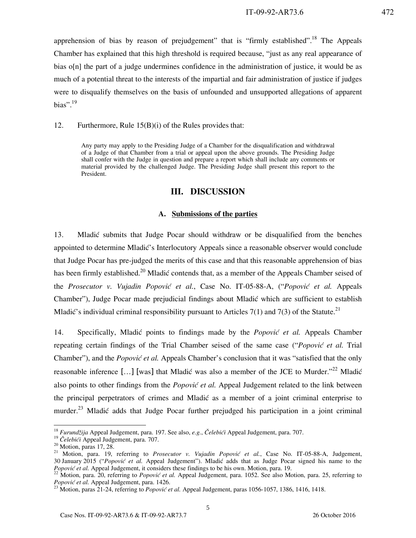apprehension of bias by reason of prejudgement" that is "firmly established".<sup>18</sup> The Appeals Chamber has explained that this high threshold is required because, "just as any real appearance of bias o[n] the part of a judge undermines confidence in the administration of justice, it would be as much of a potential threat to the interests of the impartial and fair administration of justice if judges were to disqualify themselves on the basis of unfounded and unsupported allegations of apparent bias". $^{19}$ 

12. Furthermore, Rule 15(B)(i) of the Rules provides that:

Any party may apply to the Presiding Judge of a Chamber for the disqualification and withdrawal of a Judge of that Chamber from a trial or appeal upon the above grounds. The Presiding Judge shall confer with the Judge in question and prepare a report which shall include any comments or material provided by the challenged Judge. The Presiding Judge shall present this report to the President.

#### **III. DISCUSSION**

#### **A. Submissions of the parties**

13. Mladić submits that Judge Pocar should withdraw or be disqualified from the benches appointed to determine Mladić's Interlocutory Appeals since a reasonable observer would conclude that Judge Pocar has pre-judged the merits of this case and that this reasonable apprehension of bias has been firmly established.<sup>20</sup> Mladić contends that, as a member of the Appeals Chamber seised of the *Prosecutor v. Vujadin Popović et al.*, Case No. IT-05-88-A, *("Popović et al.* Appeals Chamber"), Judge Pocar made prejudicial findings about Mladić which are sufficient to establish Mladić's individual criminal responsibility pursuant to Articles 7(1) and 7(3) of the Statute.<sup>21</sup>

14. Specifically, Mladić points to findings made by the *Popović et al.* Appeals Chamber repeating certain findings of the Trial Chamber seised of the same case ("*Popović et al.* Trial Chamber"), and the *Popović et al.* Appeals Chamber's conclusion that it was "satisfied that the only reasonable inference [...] [was] that Mladić was also a member of the JCE to Murder."<sup>22</sup> Mladić also points to other findings from the *Popović et al.* Appeal Judgement related to the link between the principal perpetrators of crimes and Mladić as a member of a joint criminal enterprise to murder.<sup>23</sup> Mladić adds that Judge Pocar further prejudged his participation in a joint criminal

<sup>&</sup>lt;sup>18</sup> *Furundžija* Appeal Judgement, para. 197. See also, *e.g., Čelebići* Appeal Judgement, para. 707.

<sup>&</sup>lt;sup>19</sup> Čelebići Appeal Judgement, para. 707.

 $20$  Motion, paras 17, 28.

<sup>&</sup>lt;sup>21</sup> Motion, para. 19, referring to *Prosecutor v. Vujadin Popović et al.*, Case No. IT-05-88-A, Judgement, 30 January 2015 ("Popović et al. Appeal Judgement"). Mladić adds that as Judge Pocar signed his name to the Popović et al. Appeal Judgement, it considers these findings to be his own. Motion, para. 19.

<sup>&</sup>lt;sup>22</sup> Motion, para. 20, referring to *Popović et al.* Appeal Judgement, para. 1052. See also Motion, para. 25, referring to Popović et al. Appeal Judgement, para. 1426.

<sup>&</sup>lt;sup>23</sup> Motion, paras 21-24, referring to *Popović et al.* Appeal Judgement, paras 1056-1057, 1386, 1416, 1418.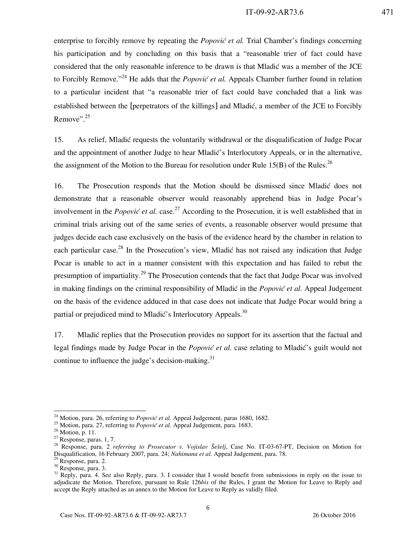enterprise to forcibly remove by repeating the *Popović et al*. Trial Chamber's findings concerning his participation and by concluding on this basis that a "reasonable trier of fact could have considered that the only reasonable inference to be drawn is that Mladić was a member of the JCE to Forcibly Remove."<sup>24</sup> He adds that the *Popović et al.* Appeals Chamber further found in relation to a particular incident that "a reasonable trier of fact could have concluded that a link was established between the [perpetrators of the killings] and Mladić, a member of the JCE to Forcibly Remove".<sup>25</sup>

15. As relief, Mladi} requests the voluntarily withdrawal or the disqualification of Judge Pocar and the appointment of another Judge to hear Mladić's Interlocutory Appeals, or in the alternative, the assignment of the Motion to the Bureau for resolution under Rule 15(B) of the Rules.<sup>26</sup>

16. The Prosecution responds that the Motion should be dismissed since Mladic does not demonstrate that a reasonable observer would reasonably apprehend bias in Judge Pocar's involvement in the *Popović et al.* case.<sup>27</sup> According to the Prosecution, it is well established that in criminal trials arising out of the same series of events, a reasonable observer would presume that judges decide each case exclusively on the basis of the evidence heard by the chamber in relation to each particular case.<sup>28</sup> In the Prosecution's view, Mladić has not raised any indication that Judge Pocar is unable to act in a manner consistent with this expectation and has failed to rebut the presumption of impartiality.<sup>29</sup> The Prosecution contends that the fact that Judge Pocar was involved in making findings on the criminal responsibility of Mladic in the *Popovic et al.* Appeal Judgement on the basis of the evidence adduced in that case does not indicate that Judge Pocar would bring a partial or prejudiced mind to Mladić's Interlocutory Appeals. $30$ 

17. Mladić replies that the Prosecution provides no support for its assertion that the factual and legal findings made by Judge Pocar in the *Popović et al.* case relating to Mladić's guilt would not continue to influence the judge's decision-making. $31$ 

<sup>&</sup>lt;sup>24</sup> Motion, para. 26, referring to *Popović et al.* Appeal Judgement, paras 1680, 1682.

<sup>&</sup>lt;sup>25</sup> Motion, para. 27, referring to *Popović et al.* Appeal Judgement, para. 1683.

 $26$  Motion, p. 11.

<sup>27</sup> Response, paras. 1, 7.

<sup>28</sup> Response, para. 2 *referring to Prosecutor v. Vojislav Šešelj*, Case No. IT-03-67-PT, Decision on Motion for Disqualification, 16 February 2007, para. 24; *Nahimana et al*. Appeal Judgement, para. 78.

<sup>&</sup>lt;sup>29</sup> Response, para. 2.

 $30$  Response, para. 3.

 $31$  Reply, para. 4. See also Reply, para. 3. I consider that I would benefit from submissions in reply on the issue to adjudicate the Motion. Therefore, pursuant to Rule 126*bis* of the Rules, I grant the Motion for Leave to Reply and accept the Reply attached as an annex to the Motion for Leave to Reply as validly filed.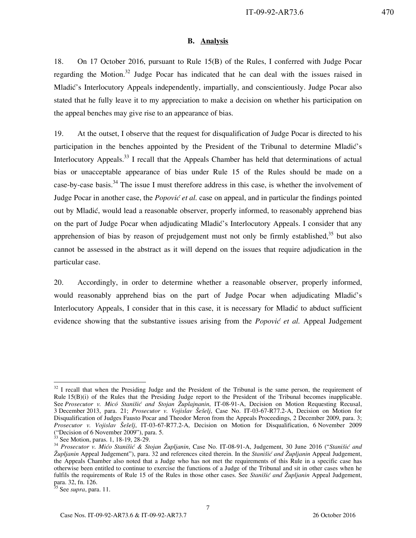#### **B. Analysis**

18. On 17 October 2016, pursuant to Rule 15(B) of the Rules, I conferred with Judge Pocar regarding the Motion.<sup>32</sup> Judge Pocar has indicated that he can deal with the issues raised in Mladić's Interlocutory Appeals independently, impartially, and conscientiously. Judge Pocar also stated that he fully leave it to my appreciation to make a decision on whether his participation on the appeal benches may give rise to an appearance of bias.

19. At the outset, I observe that the request for disqualification of Judge Pocar is directed to his participation in the benches appointed by the President of the Tribunal to determine Mladić's Interlocutory Appeals.<sup>33</sup> I recall that the Appeals Chamber has held that determinations of actual bias or unacceptable appearance of bias under Rule 15 of the Rules should be made on a case-by-case basis.<sup>34</sup> The issue I must therefore address in this case, is whether the involvement of Judge Pocar in another case, the *Popović et al.* case on appeal, and in particular the findings pointed out by Mladić, would lead a reasonable observer, properly informed, to reasonably apprehend bias on the part of Judge Pocar when adjudicating Mladić's Interlocutory Appeals. I consider that any apprehension of bias by reason of prejudgement must not only be firmly established, $35$  but also cannot be assessed in the abstract as it will depend on the issues that require adjudication in the particular case.

20. Accordingly, in order to determine whether a reasonable observer, properly informed, would reasonably apprehend bias on the part of Judge Pocar when adjudicating Mladić's Interlocutory Appeals, I consider that in this case, it is necessary for Mladic to abduct sufficient evidence showing that the substantive issues arising from the *Popović et al.* Appeal Judgement

 $32$  I recall that when the Presiding Judge and the President of the Tribunal is the same person, the requirement of Rule 15(B)(i) of the Rules that the Presiding Judge report to the President of the Tribunal becomes inapplicable. See *Prosecutor v. Micó Stanišić and Stojan Župlajnanin*, IT-08-91-A, Decision on Motion Requesting Recusal, 3 December 2013, para. 21; *Prosecutor v. Vojislav [e{elj*, Case No. IT-03-67-R77.2-A, Decision on Motion for Disqualification of Judges Fausto Pocar and Theodor Meron from the Appeals Proceedings, 2 December 2009, para. 3; *Prosecutor v. Vojislav [e{elj*, IT-03-67-R77.2-A, Decision on Motion for Disqualification, 6 November 2009 ("Decision of 6 November 2009"), para. 5.

 $3$  See Motion, paras. 1, 18-19, 28-29.

<sup>&</sup>lt;sup>34</sup> *Prosecutor v. Mićo Stanišić & Stojan Župljanin*, Case No. IT-08-91-A, Judgement, 30 June 2016 ("*Stanišić and Župljanin* Appeal Judgement"), para. 32 and references cited therein. In the *Stani{i} and Župljanin* Appeal Judgement, the Appeals Chamber also noted that a Judge who has not met the requirements of this Rule in a specific case has otherwise been entitled to continue to exercise the functions of a Judge of the Tribunal and sit in other cases when he fulfils the requirements of Rule 15 of the Rules in those other cases. See *Stanišić and Župljanin* Appeal Judgement, para. 32, fn. 126.

<sup>&</sup>lt;sup>35</sup> See *supra*, para. 11.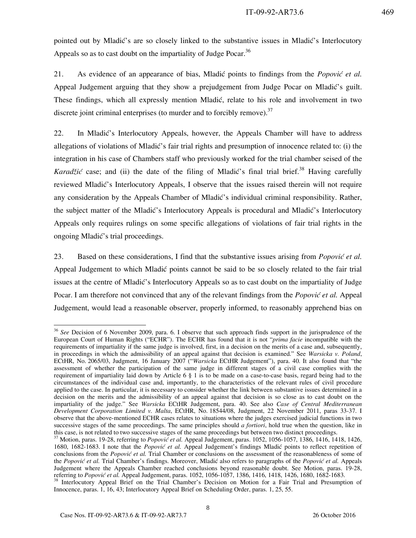pointed out by Mladić's are so closely linked to the substantive issues in Mladić's Interlocutory Appeals so as to cast doubt on the impartiality of Judge Pocar.<sup>36</sup>

21. As evidence of an appearance of bias, Mladić points to findings from the *Popović et al.* Appeal Judgement arguing that they show a prejudgement from Judge Pocar on Mladić's guilt. These findings, which all expressly mention Mladić, relate to his role and involvement in two discrete joint criminal enterprises (to murder and to forcibly remove). $37$ 

22. In Mladić's Interlocutory Appeals, however, the Appeals Chamber will have to address allegations of violations of Mladić's fair trial rights and presumption of innocence related to: (i) the integration in his case of Chambers staff who previously worked for the trial chamber seised of the *Karadžić* case; and (ii) the date of the filing of Mladić's final trial brief.<sup>38</sup> Having carefully reviewed Mladić's Interlocutory Appeals, I observe that the issues raised therein will not require any consideration by the Appeals Chamber of Mladić's individual criminal responsibility. Rather, the subject matter of the Mladić's Interlocutory Appeals is procedural and Mladić's Interlocutory Appeals only requires rulings on some specific allegations of violations of fair trial rights in the ongoing Mladić's trial proceedings.

23. Based on these considerations, I find that the substantive issues arising from *Popović et al.* Appeal Judgement to which Mladić points cannot be said to be so closely related to the fair trial issues at the centre of Mladić's Interlocutory Appeals so as to cast doubt on the impartiality of Judge Pocar. I am therefore not convinced that any of the relevant findings from the *Popović et al.* Appeal Judgement, would lead a reasonable observer, properly informed, to reasonably apprehend bias on

<sup>36</sup> *See* Decision of 6 November 2009, para. 6. I observe that such approach finds support in the jurisprudence of the European Court of Human Rights ("ECHR"). The ECHR has found that it is not "*prima facie* incompatible with the requirements of impartiality if the same judge is involved, first, in a decision on the merits of a case and, subsequently, in proceedings in which the admissibility of an appeal against that decision is examined." See *Warsicka v. Poland*, ECtHR, No. 2065/03, Judgment, 16 January 2007 ("*Warsicka* ECtHR Judgement"), para. 40. It also found that "the assessment of whether the participation of the same judge in different stages of a civil case complies with the requirement of impartiality laid down by Article 6 § 1 is to be made on a case-to-case basis, regard being had to the circumstances of the individual case and, importantly, to the characteristics of the relevant rules of civil procedure applied to the case. In particular, it is necessary to consider whether the link between substantive issues determined in a decision on the merits and the admissibility of an appeal against that decision is so close as to cast doubt on the impartiality of the judge." See *Warsicka* ECtHR Judgement, para. 40. See also *Case of Central Mediterranean Development Corporation Limited v. Malta*, ECtHR, No. 18544/08, Judgment, 22 November 2011, paras 33-37. I observe that the above-mentioned ECHR cases relates to situations where the judges exercised judicial functions in two successive stages of the same proceedings. The same principles should *a fortiori*, hold true when the question, like in this case, is not related to two successive stages of the same proceedings but between two distinct proceedings.

<sup>&</sup>lt;sup>37</sup> Motion, paras. 19-28, referring to *Popović et al.* Appeal Judgement, paras. 1052, 1056-1057, 1386, 1416, 1418, 1426, 1680, 1682-1683. I note that the *Popović et al.* Appeal Judgement's findings Mladić points to reflect repetition of conclusions from the *Popović et al.* Trial Chamber or conclusions on the assessment of the reasonableness of some of the *Popović et al.* Trial Chamber's findings. Moreover, Mladić also refers to paragraphs of the *Popović et al.* Appeals Judgement where the Appeals Chamber reached conclusions beyond reasonable doubt. See Motion, paras. 19-28, referring to *Popovi} et al.* Appeal Judgement, paras. 1052, 1056-1057, 1386, 1416, 1418, 1426, 1680, 1682-1683.

<sup>&</sup>lt;sup>38</sup> Interlocutory Appeal Brief on the Trial Chamber's Decision on Motion for a Fair Trial and Presumption of Innocence, paras. 1, 16, 43; Interlocutory Appeal Brief on Scheduling Order, paras. 1, 25, 55.